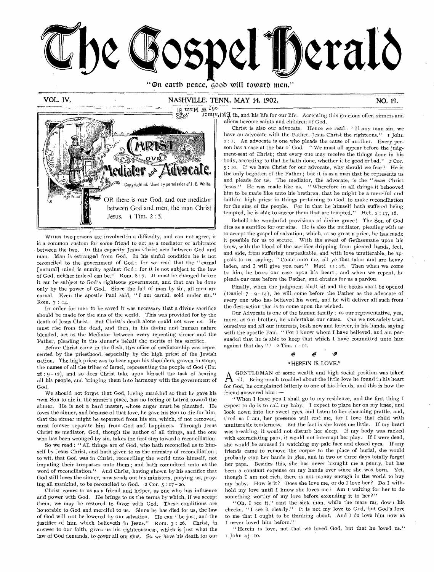

"On earth peace, good will toward men."

## VOL, IV, NASHVILLE, TENN, MAY 14, 1902,

NO, 19,



WHEN two persons are involved in a difficulty, and can not agree, it is a common custom for some friend to act as a mediator or arbitrator • between the two. In this capacity Jesus Christ acts between God and man. Man is estranged froni God. In his sinful condition he is not reconciled to the government of God ; for we read that the " carnal [natural] mind is enmity against God : for it is not subject to the law of God, neither indeed can be." Rom. 8 : 7. It must be changed before it can be subject to God's righteous government, and that can be done only by the power of God. Since the fall of man by sin, all men are carnal. Even the apostle Paul said, "I am carnal, sold under sin." Rom. 7 : 14.

In order for men to be saved it was necessary that a divine sacrifice should be made for the sins of the world. This was provided for by the death of Jesus Christ. But Christ's death alone could not save us. He must rise from the dead, and then, in his divine and human nature blended, act as the Mediator between every repenting sinner and the Father, pleading in the sinner's behalf the merits of his sacrifice.

Before Christ came in the flesh, this office of mediatorship was represented by the priesthood, especially by the high priest of the Jewish nation. The high priest was to bear upon his shoulders, graven in stone, the names of all the tribes of Israel, representing the people of God (Ex.  $28:9-12$ ), and so does Christ take upon himself the task of bearing all his people, and bringing them into harmony with the government of God.

We should not forget that God, loving mankind so that he gave his nwn Son to die in the sinner's place, has no feeling of hatred toward the sinner. He is not a hard master, whose anger must be placated. He loves the sinner, and because of that love, he gave his Son to die for him, that the sinner might be separated from his sin, which, if not removed, must forever separate him from God and happiness. Through Jesus Christ as mediator, God, though the author of all things, and the one who has been wronged by sin, takes the first step toward a reconciliation.

So we read : " All things are of God, who hath reconciled us to himself by Jesus Christ, and hath given to us the ministry of reconciliation ; to wit, that God was in Christ, reconciling the world unto himself, not imputing their trespasses unto them.; and hath committed unto us the word of reconciliation." And Christ, having shown by his sacrifice that God still loves the sinner, now sends out his ministers, praying us, praying all mankind, to be reconciled to God. 2 Cor. 5 : 17 - 20.

Christ comes to us as a friend and helper, as one who has influence and power with God. He *brings* to us the terms by which, if we accept them, we may be restored to favor with God. These conditions are honorable to God and merciful to us. Since he has died for us, the law of God will not be lowered by our salvation. He can "be just, and the justifier of him which believeth in Jesus." Rom. 3 : 26. Christ, in answer to our faith, gives us his righteousness, which is just what the law of God demands, to cover all our sins, So we have his death for our

1S uivM M 49<sup>2</sup><br>
2s Ilivia — Monte et al. Accepting this gracious offer, sinners and<br>
2s Islam to the form our life. Accepting this gracious offer, sinners and aliens become saints and children of God.

> Christ is also our advocate. Hence we read : " If any man sin, we have an advocate with the Father, Jesus Christ the righteous." I John 2 : r. An advocate is one who pleads the cause of another. Every person has a case at the bar of God. " We must all. appear before the judgment-seat of Christ ; that every one may receive the things done in his body, according to that he hath done, whether it be good or bad." 2 Cor. 5 : 10. If we have Christ for our advocate, why should we fear? He is the only begotten of the Father ; but it is as a man'that he represents us and pleads for us. The mediator, the advocate, is the " *man* Christ Jesus." He was made like us. " Wherefore in all things it behooved him to be made like unto his brethren, that he might be a merciful and faithful high priest in things pertaining to God, to make reconciliation for the sins of the people. For in that he himself hath suffered being tempted, he is able to succor them that are tempted." Heb. 2 : 17, i8.

> Behold the wonderful provisions of divine grace ! The Son of God dies as a sacrifice for our sins. He is also the mediator, pleading with us to accept the gospel of salvation, which, at so great a price, he has made it possible for us to secure, With the sweat of Gethsemane upon his brow, with the blood of the sacrifice dripping from pierced hands, feet, and side, from suffering unspeakable, and with love unutterable, he appeals to us, saying, " Come unto me, all ye that labor and are heavy laden, and I will give you rest." Matt. II : 28. Then when we come to him, he bears our case upon his heart ; and when we repent, he pleads our case before the Father, and obtains for us a pardon.

> Finally, when the judgment shall sit and the books shall be opened (Daniel  $7:9-14$ ), he will come before the Father as the advocate of every one who has believed his word, and he will deliver all such from the destruction that is to come upon the wicked.

> Our Advocate is one of the human family ; as our representative, yea, more, as our brother, he undertakes our cause. Can we not safely trust ourselves and all our interests, both now and forever, in his hands, saying with the apostle Paul, " For I know whom I have believed, and am persuaded that he is able to keep that which I have committed unto him against that day"?  $2$  Tim.  $1$ : 12.

#### لکۍ لکو "HEREIN IS LOVE."

A GENTLEMAN of some weath and fight social position was taken<br>for God, he complained bitterly to one of his friends, and this is how the GENTLEMAN of some wealth and high social position was taken ill. Being much troubled about the little love he found in his heart friend answered him :—

" When I leave you I shall go to my residence, and the first thing I expect to do is to call my baby. I expect to place her on my knee, and look down into her sweet eyes, and listen to her charming prattle, and, tired as I am, her presence will rest me, for I love that child with unutterable tenderness. But the fact is she loves me little. If my heart was breaking, it would not disturb her sleep. If my body was racked with excruciating pain, it would not interrupt her play. If I were dead, she would be amused in watching my pale face and closed eyes. If any friends came to remove the corpse to the place of burial, she would probably clap her hands in glee, and in two or three days totally forget her papa. Besides this, she has never brought me a penny, but has been a constant expense on my hands ever since she was born. Yet, though I am not rich, there is not money enough in the world to buy my baby. How is it? Does she love me, or do I love her? Do I withhold my love until I know she loves me ? Am I waiting for her to do something worthy of my love before extending it to her?"

" Oh, I see it," said the sick man, while the tears ran down his cheeks, " I see it clearly." It is not my love to God, but God's love to me that I ought to be thinking about. And I do love him now as I never loved him before."

" Herein is love, not that we loved God, but that he loved *us."*  1 John 41, 10.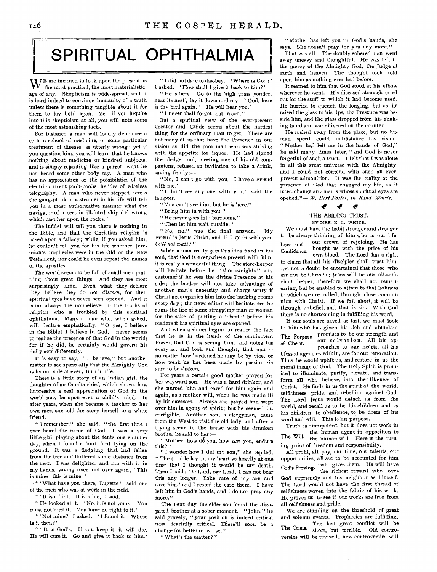## SPIRITUAL OPHTHALMIA

 $W<sup>E</sup>$  are inclined to look upon the present as the most practical, the most materialistic, age of any. Skepticism is wide-spread, and it is hard indeed to convince humanity of a truth unless there is something tangible about it for them to lay hold upon. Yet, if you inquire into this skepticism at all, you will note some of the most astonishing facts.

For instance, a man will loudly denounce a certain school of medicine, or some particular treatment of disease, as utterly wrong ; yet if you question him, you will learn that he knows nothing about medicine or kindred subjects, and is simply repeating like a parrot, what he has heard some other body say. A man who has no appreciation of the possibilities of the electric current pooh-poohs the idea of wireless telegraphy. A man who never stepped across the gang-plank of a steamer in his life will tell you in a most authoritative manner what the navigator of a certain ill-fated ship did wrong which cast her upon the rocks.

The infidel will tell you there is nothing in the Bible, and that the Christian religion is based upon a fallacy ; while, if you asked him, he couldn't tell you for his life whether Jeremiah's prophecies were in the Old or the New Testament, nor could he even repeat the names of the apostles.

The world seems to be full of small men prattling about great things. And they are most surprisingly blind. Even what they declare they believe they do not *discern,* for their spiritual eyes have never been opened. And it is not always the nonbeliever in the truths of religion who is troubled by this spiritual ophthalmia. Many a man who, when asked, will declare emphatically, "O yes, I believe in the Bible! I believe in God," never seems to realize the presence of that God in the world; for if he did, he certainly would govern his daily acts differently.

It is easy to say, "I believe," but another matter to see spiritually that the Almighty God is by our side at every turn in life.

There is a little story of an Indian girl, the daughter of an Omaha chief, which shows how impressive a real appreciation of God in the world may be upon even a child's mind. In after years, when she became a teacher to her own race, she told the story herself to a white friend.

" I remember," she said, " the first time I ever heard the name of God. I was a very little girl, playing about the tents one summer day, when I found a hurt bird lying on the ground. It was a fledgling that had fallen from the tree and fluttered some distance from the nest. I was delighted, and ran with it in my hands, saying over and over again , ' This is mine ! this is mine ! '

" ' What have you there, Lugette?' said one of the men who was at work in the field.

" It is a bird. It is mine,' I said.

" "He looked at it. 'No, it is not yours. You must not hurt it. You have no right to it.'

"'Not mine?' I asked. 'I found it. Whose is it then ? '

" It is God's. If you keep it, it will die. He will cure it. Go and give it back to him.'

"I did not dare to disobey. 'Where is God?' I asked. 'How shall I give it back to him?'

**I** 

" He is here. Go to the high grass yonder, near its nest; lay it down and say : " God, here is thy bird again." He will hear you.'

" I never shall forget that lesson."

But a spiritual view of the ever-present Creator and Guide seems about the hardest thing for the ordinary man to get. There are not many of us that have the Presence in our vision as did the poor man who was striving with the appetite for liquor. He had signed the pledge, and, meeting one of his old companions, refused an invitation to take a drink, saying firmly :—

"No, I can't go with you. I have a Friend with me."

"I don't see any one with you," said the tempter.

"You can't see him, but he is here."

" Bring him in with you."

" He never goes into barrooms."

"Then let him wait outside."

"No, no," was the final answer. "My Friend is Jesus Christ, and if I go in with you, *he'll not wail ! "* 

When a man really gets this idea fixed in his soul, that God is everywhere present with him, it is really a wonderful thing. The store-keeper will hesitate before he "short-weights" any customer if he sees the divine Presence at his side ; the banker will not take advantage of another man's necessity and charge usury if Christ accompanies him into the banking rooms every day ; the news editor will hesitate ere he ruins the life of some struggling man or woman for the sake of putting a " beat " before his readers if his spiritual eyes are opened.

And when a sinner begins to realize the fact that he is in the hands of the omnipotent Power, that God is seeing him, and notes his every act and look and thought, that man no matter how hardened he may be by vice, or how weak he has been made by passion—is sure to be shaken.

For years a certain good mother prayed for her wayward son. He was a hard drinker, and she nursed him and cared for him again and again, as a mother will, when he was made ill by his excesses. Always she prayed and wept over him in agony of spirit ; but he seemed incorrigible. Another son, a clergyman, came from the West to visit the old lady, and after a trying scene in the house with his drunken brother he said to her :—

" Mother, how do you, how *can* you, endure this ? "

" I wonder how I did my son," she replied. " The trouble lay on my heart so heavily at one time that I thought it would be my death. Then I said : 'O Lord, *my* Lord, I can not bear this any longer. Take care of my son and save him,' and I rested the case there. I have left him in God's hands, and I do not pray any more."

The next day the elder son found the dissipated brother at a sober moment. " John," he said gravely, "your'position is indeed critical now, fearfully critical. There'll soon be a change for better or worse."

" What's the matter ? "

" Mother has left you in God's hands, she says. She doesn't pray for you any more."

That was all. The doubly sobered man went away uneasy and thoughtful. He was left to the mercy of the Almighty God, the Judge of earth and heaven. The thought took hold upon him as nothing ever had before.

It seemed to him that God stood at his elbow wherever he went. His diseased stomach cried out for the stuff to which it had become used. He hurried to quench the longing, but as he raised the glass to his lips, the Presence was beside him, and the glass dropped from his shaking hand and was shivered on the counter.

He rushed away from the place, but no human speed could outdistance his vision. Mother had left me in the hands of God," he said many times later, "and God is never forgetful of such a trust. I felt that I was alone in all this great universe with the Almighty, and I could not contend with such an everpresent admonition. It was the reality of the presence of God that changed *my* life, as it must change any man's whose spiritual eyes are opened."— W. *Bert Foster, in Kind Words.* 

## *t•A ir*

THE ABIDING TRUST. BY MRS. E. C. WHITE.

We must have the habit stronger and stronger to be always thinking of him who is our life, our crown of rejoicing. He has bought us with the price of his own blood. The Lord has a right to claim that all his disciples shall trust him. Let not a doubt be entertained that those who err can be Christ's ; Jesus will be our all-sufficient helper, therefore we shall not remain erring, but be enabled to attain to that holiness to which we are called, through close communion with Christ. If we fall short, it will be through unbelief, and that is sin. With God there is no shortcoming in fulfilling his word. Love and Confidence,

If our souls are saved at last, we must look to him who has given his rich and abundant promises to be our strength and our salvation. All his approaches to our hearts, all his blessed agencies within, are for our renovation. Thus he would uplift us, and restore in us the moral image of God. The Holy Spirit is promised to illuminate, purify, elevate, and transform all who believe, into the likeness of Christ. He finds in us the spirit of the world, selfishness, pride, and rebellion against God. The Lord Jesus would detach us from the world, and recall us to be his children, and as his children, to obedience, to be doers of his word and will. This is his purpose. The Purpose of Christ,

Truth is omnipotent, but it does not work in the human agent in opposition to The Will, the human will. Here is the turning point of freedom and responsibility.

All profit, all pay, our time, our talents, our opportunities, all are to be accounted for him God's Proving, who gives them. He will have the richest reward who loves God supremely and his neighbor as himself. The Lord would not have the first thread of selfishness woven into the fabric of his work. He proves us, to see if our works are free from all selfishness and pride.

We are standing on the threshold of great and solemn events. Prophecies are fulfilling. The last great conflict will be The Crisis, short, but terrible. Old controversies will be revived; new controversies will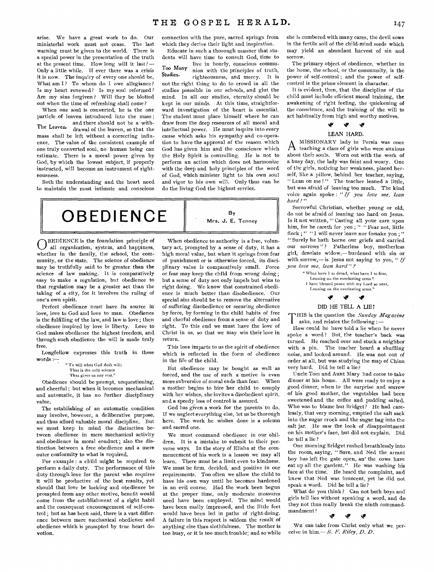arise. We have a great work to do. Our ministerial work must not cease. The last warning must be given to the world. There is a special power in the presentation of the truth at the present time. How long will it last?— Only a little while. If ever there was a crisis it is now. The inquiry of every one should be, What am I? To whom do I owe allegiance? Is my heart renewed? Is my soul reformed? Are my sins forgiven ? Will they be blotted out when the time of refreshing shall come?

When one soul is converted, he is the one particle of leaven introduced into the mass ; and there should not be a with-The Leaven, drawal of the leaven, so that the mass shall be left without a correcting influence. The value of the consistent example of one truly converted soul, no human being can estimate. There is a moral power given by God, by which the lowest subject, if properly instructed, will become an instrument of righteousness.

Both the understanding and the heart need to maintain the most intimate and conscious

connection with the pure, sacred springs from which they derive their light and inspiration.

Educate in such a thorough manner that students will have time to consult God, time to

live in hourly, conscious commu-Too Many  $\frac{1}{100}$  nion with the principles of truth,<br>Studies  $\frac{1}{100}$  in with the principles of truth, righteousness, and mercy. It is not the right thing to do to crowd in all the studies posssible in our schools, and glut the mind. In all our studies, eternity should be kept in our minds. At this time, straightforward investigation of the heart is essential. The student must place himself where he can draw from the deep resources of all moral and intellectual power. He must inquire into every cause which asks his sympathy and co-operation to have the approval of the reason which God has given him and the conscience which the Holy Spirit is controlling. He is not to perform an action which does not harmonize with the deep and holy principles of the word of God, which minister light to his own soul and vigor to his own will. Only thus can he do the living God the highest service.



O BEDIENCE is the foundation principle of all organization, system, and happiness, whether in the family, the school, the community, or the state. The science of obedience may be truthfully said to be greater than the science of law making. It is comparatively easy to make a regulation, but obedience to that regulation may be a greater act than the taking of a city, for it involves the ruling of one's own spirit.

Perfect obedience must have its source in love, love to God and love to man. Obedience is the fulfilling of the law, and law is love ; then obedience inspired by love is liberty. Love to God makes obedience the highest freedom, and through such obedience the will is made truly free.

Longfellow expresses this truth in these words :-

" To will what God doth will; That is the only science That gives us any rest."

Obedience should be prompt, unquestioning, and cheerful ; but when it becomes mechanical and automatic, it has no further disciplinary value.

The establishing of an automatic condition may involve, however, a deliberative purpose, and thus afford valuable moral discipline. But we must keep in mind the distinction between obedience in mere mechanical activity and obedience in moral conduct; also the distinction between a free obedience and a mere outer conformity to what is required.

For example : a child might be required to perform a daily duty. The performance of this duty through love for the parent who requires it will be productive of the best results, yet should that love be lacking and obedience be prompted from any other motive, benefit would come from the establishment of a right habit and the consequent encouragement of self-control ; but as has been said, there is a vast difference between mere mechanical obedience and obedience which is prompted by true heart devotion.

When obedience to authority is a free, voluntary act, prompted by a sense of duty, it has a high moral value, but when it springs from fear of punishment or is otherwise forced, its disciplinary value is comparatively small. Force or fear may keep the child from wrong doing ; but a sense of duty not only impels but wins to right doing. We know that constrained obedience is much better than disobedience. Our special aim should be to remove the alternative of suffering disobedience or securing obedience by force, by forming in the child habits of free and cherful obedience from a sense of duty and right. To this end we must have the love of Christ in us, so that we may win their love in return.

This love imparts to us the spirit of obedience which is reflected in the form of obedience in the life of the child.

BUt obedience may be bought as well as forced, and the use of such a motive is even more subversive of moral ends than fear. When a mother begins to hire her child to comply with her wishes, she invites a disobedient spirit, and a speedy loss of control is assured.

God has given a work for the parents to do. If we neglect everything else, let us be thorough here. The work he wishes done is a solemn and sacred one.

We must command obedience in our ohildren. It is a mistake to submit to their perverse ways. In the story of Elisha at the commencement of his work is a lesson we may all learn. There must be a limit even to kindness. We must be firm, decided, and positive in our requirements. Too often we allow the child to have his own way until he becomes hardened in an evil course. Had the work been begun at the proper time, only moderate measures need have been employed. The mind would have been easily impressed, and the little feet would have been led in paths of right-doing. A failure in this respect is seldom the result of anything else than slothfulness. The mother is too busy, or it is too much trouble; and so while she is cumbered with many cares, the devil sows in the fertile soil of the child-mind seeds which may yield an abundant harvest of sin and sorrow.

The primary object of obedience, whether in the home, the school, or the community, is the power of self-control ; and the power of selfcontrol is the prime element in character.

It is evident, then, that the discipline of the child must include efficient moral training, the awakening of right feeling, the quickening of the conscience, and the training of the will to act habitually from high and worthy motives.

#### کل iv

### LEAN HARD,

A MISSIONARY lady in Persia was once<br>teaching a class of girls who were anxious MISSIONARY lady in Persia was once about their souls. Worn out with the work of a busy day, the lady was faint and weary. One of the girls, noticing her weakness, placed herself, like a pillow, behind her teacher, saying, " Lean on me !" The teacher leaned a little, but was afraid of leaning too much. The kind voice again spoke : *" If you love me, lean hard ! "* 

Sorrowful Christian, whether young or old, do not be afraid of leaning too hard on Jesus. Is it not written, " Casting all your care upon him, for he careth for you ; " " Fear not, little flock ; " "I will never leave nor forsake you ; " " Surely he hath borne our griefs and carried our sorrows"? Fatherless boy, motherless girl, desolate widow,—burdened with sin or with sorrow<sub>1</sub>—is Jesus not saying to you, "*If you love me, lean hard"* 

"What have I to dread, what have I to fear, Leaning on the everlasting arms ? I have blessed peace with my Lord so near, Leaning on the everlasting arms."

#### ى.  $\bullet$

#### DID HE TELL A LIE?

T HIS is the question the *Sunday Magazine*  asks, and relates the following :—

How could he have told a lie when he never spoke a word? But, the teacher's back was turned. He reached over and stuck a neighbor with a pin. The teacher heard a shuffling noise, and looked around. He was not out of order at all, but was studying the map of China very hard. Did he tell a lie?

Uncle Tom and Aunt Mary had come to take dinner at his home. All were ready to enjoy a good dinner, when to the surprise and sorrow of his good mother, the vegetables had been sweetened and the coffee and pudding salted. Who was to blame but Bridget? He had carelessly, that very morning, emptied the salt sack into the sugar crock and the sugar bag into the salt jar. He saw the look of disappointment on his mother's face, but did not explain. Did he tell a lie ?

One morning Bridget rushed breathlessly into the room, saying, " Sure, and Ned the arrant boy has left the gate open, an' the cows have eat up all the gardent." He was washing his face at the time. He heard the complaint, and knew that Ned was innocent, yet he did not speak a word. Did he tell a lie?

What do you think? Can not both boys and girls tell lies without speaking a word, and do they not thus really break the ninth commandmandment ?

#### **SP** ti7 'p

WE can take from Christ only what we perceive in him.— *B. F. Riley, D. D.*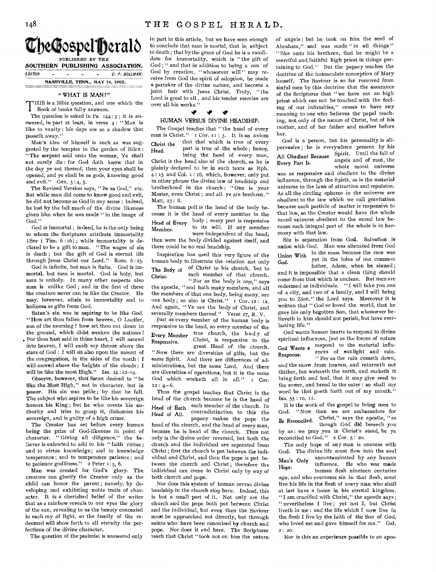

SOUTHERN PUBLISHING ASSOCIATION.

EDITOR - - - - C. P. BOLLMAN. **NASHVILLE, TENN., MAY 14, 1902.** 

## "WHAT IS MAN?"

'THIS is a Bible question, and one which the 1 Book of books fully answers.

The question is asked in Ps. 144:3; it is answered, in part at least, in verse 4: "Man is like to vanity : his days are as a shadow that passeth away."

Man's idea of himself is such as was suggested by the tempter in the garden of Eden : "The serpent said unto the woman, Ye shall not surely die : for God doth know that in the day ye eat thereof, then your eyes shall be opened, and ye shall be as gods, knowing good and evil." Gen. 3:4, 5.

The Revised Version says, " Be as God," etc. But while man did come to know good and evil, he did not become as God in any sense ; indeed, he lost by the fall much of the divine likeness given him when he was made " in the image of God."

God is immortal ; indeed, he is the only being to whom the Scriptures attribute immortality (See i Tim. 6 : 16) ; while immortality is declared to be a gift to man. " The wages of sin is death ; but the gift of God is eternal life through Jesus Christ our Lord." Rom. 6 : 23.

God is infinite, but man is finite. God is immortal, but man is mortal. God is holy, but man is unholy. In many other respects also man is unlike God ; and in the first of these the creature never can be like the Creator. He may, however, attain to immortality and to holiness as gifts from God.

Satan's sin was in aspiring to be like God. "How art thou fallen from heaven, 0 Lucifer, son of the morning ! how art thou cut down to the ground, which didst weaken the nations ! . For thou hast said in thine heart, I will ascend into heaven, I will exalt my throne above the stars of God : I will sit also upon the mount of the congregation, in the sides of the north : I will ascend above the heights of the clouds ; I will be like the most High." Isa. 14:12-14.

Observe, however, that Satan desired to " be like the Most High," not in character, but in power. His sin was pride ; by that he fell. The subject who aspires to be like his sovereign honors his King ; but he who covets his authority and tries to grasp it, dishonors his sovereign, and is guilty of a high crime.

The Creator has set before every human being the prize of God-likeness in point of character. " Giving all diligence," the believer is exhorted to add to his " faith virtue ; and to virtue knowledge; and to knowledge temperance ; and to temperance patience ; and to patience godliness."  $2$  Peter 1: 5, 6.

Man was created for God's glory. The creature can glorify the Creator only as the child can honor the parent ; namely, by developing and exhibiting noble traits of character. It is a cherished belief of the writer that as a rainbow reveals to our eyes the glory of the sun, revealing to us the beauty concealed in each ray of light, so the family of the redeemed will show forth to all eternity the perfections of the divine character.

The question of the psalmist is answered only

in part in this article, but we have seen enough to conclude that man is mortal, that is, subject to death; that by the grace of God he is a candidate for immortality, which is " the gift of God ; " and that in addition to being a son of God by creation, "whosoever will" may receive from God the spirit of adoption, be made a partaker of the divine nature, and become a joint heir with Jesus Christ. Truly, "the Lord is good to all , and his tender mercies are over all his works."

#### ₩ 41, Ŵ

#### HUMAN VERSUS DIVINE HEADSHIP,

The Gospel teaches that "the head of every man is Christ."  $I$  Cor.  $II$ : 3. It is an axiom Head, Christ the that that which is true of every being the head of every man, part is true of the whole ; hence,

Christ is the head also of the church, as he is plainly declared to be in such texts as Eph. 4 15 and Col, I : 18, which, however, only put in other phrase the divine law of headship and brotherhood in the church : " One is your Master, even Christ ; and all ye are brethren." Matt. 23 : 8.

The human poll is the head of the body because it is the head of every member in the Head of Every body; every part is responsive Head of Every to its will. If any member were independent of the head, then were the body divided against itself, and there could be no real headship.

Inspiration has used this very figure of the human body to illustrate the relation not only The Body of <sup>of</sup> Christ to his church, but to Christ, each member of that church. " For as the body is one," says the apostle, " and hath many members, and all the members of that one body, being many, are one body; so also is Christ." I Cor. 12: 12. And again, "Ye are the body of Christ, and

severally members thereof." Verse 27, R. V. Just as every member of the human body is responsive to the head, so every member of the Every Member true church, the body of Responsive, Christ, is responsive to the great Head of the church.

" Now there are diversities of gifts, but the same Spirit. And there are differences of administrations, but the same Lord. And there are diversities of operations, but it is the same God which worketh all in all." I Cor.  $12: 4-6.$ 

Thus the gospel teaches that Christ is the head of the church because he is the head of Head of Each each member of the church. In Head of All, contradistinction to this the papacy makes the pope the head of the church, and the head of every man, because he is head of the church. Thus not only is the divine order reversed, but both the church and the individual are separated from Christ ; first the church is put between the individual and Christ, and then the pope is put between the church and Christ; therefore the individual can come to Christ only by way of both church and pope.

Nor does this system of human *versus* divine headship in the church stop here. Indeed, this is but a small part of it. Not only are the church and the pope both put between Christ and the individual, but even then the Saviour must be approached not directly, but through saints who have been canonized by church and pope. Nor does it end here. The Scriptures teach that Christ " took not on him the nature of angels ; but he took on him the seed of Abraham," and was made "in all things" " like unto his brethren, that he might be a merciful and, faithful high priest in things pertaining to God." But the papacy teaches the doctrine of the immaculate conception of Mary herself. The Saviour is so far removed from sinful men by this doctrine that the assurance of the Scriptures that " we have not an high priest which can not be touched with the feeling of our infirmities," ceases to have any meaning to one who believes the papal teaching, not only of the nature of Christ, but of his mother, and of her father and mother before her.

God is a person, but his personality is allpervasive ; he is everywhere present by his All Obedient Because Spirit. Until the fall of Every Part Is, angels and of man, the whole moral universe was as responsive and obedient to the divine

influence, through the Spirit, as is the material universe to the laws of attraction and repulsion. As all the circling spheres in the universe are obedient to the law which we call gravitation because each particle of matter is responsive to that law, so the Creator would have the whole moral universe obedient to the moral law because each integral part of the whole is in harmony with that law.

Sin is separation from God. Salvation is union with God. Man was alienated from God Union With in the mass because the race was God, yet in the loins of our common father, Adam, when he sinned ; and it is impossible that a clean thing should come from that which is unclean. But men are redeemed as individuals. "I will take you one 'of a city, and two of a family, and I will bring you to Zion," the Lord says. Moreover it is written that " God so loved the world, that he gave his only begotten Son, that whosoever believeth in him should not perish, but have everlasting life."

God wants human hearts to respond to divine spiritual influences, just as the forces of nature God Wants a respond to the material influ-God wants a<br>Response, ences of sunlight and rain. " For as the rain cometh down, and the snow from heaven, and returneth not thither, but watereth the earth, and maketh it bring forth and bud, that it may give seed to the sower, and bread to the eater : so shall my word be that goeth forth out of my mouth." Isa. 55 : 1o, II.

It is the work of the gospel to bring men to 'God. "Now then we are ambassadors for Be Reconciled, Christ," says the apostle, " as though God did beseech you by us : we pray you in Christ's stead, be ye reconciled to God." 2 Cor. 5 : 20.

The only hope of any man is oneness with 'God. The divine life must flow into the soul Man's Only uncontaminated by any human Hope, influence. He who was made human flesh nineteen centuries ago, and who overcame sin in that flesh, must live his life in the flesh of every man who shall at last have a home in his eternal kingdom. "I am crucified with Christ," the apostle says ; nevertheless I live ; yet not I, but Christ liveth in me : and the life which I now live in the flesh I live by the faith of the Son of God, who loved me and gave himself for me." Gal. 2 : 20.

Nor is this an experience possible to an apos-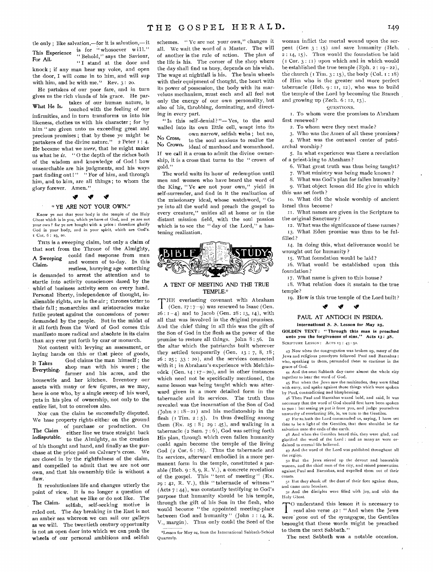tle only ; like salvation,—for it is salvation,— it This Experience is for "whosoever will." This Experience<br>For All,  $(1 - \text{stand } \text{at the door and})$ " Behold," says the Saviour,<br>"I stand at the door and knock ; if any man hear my voice, and open the door, I will come in to him, and will sup with him, and he with me." Rev.  $3:20$ .

He partakes of our poor fare, and in turn gives us the rich viands of his grace. He par-What He Is, takes of our human nature, is touched with the feeling of our infirmities, and in turn transforms us into his likeness, clothes us with his character ; for by him " are given unto us exceeding great and precious promises ; that by these ye might be partakers of the divine nature." 2 Peter I: 4. He became what we *were,* that he might make us what he *is. "* 0 the depth of the riches both of the wisdom and knowledge of God ! how unsearchable are his judgments, and his ways past finding out !" " For of him, and through him, and to him, are all things ; to whom the glory forever. Amen."

### **if "P**

#### " YE ARE NOT YOUR OWN,"

Know ye not that your body is the temple of the Holy Ghost which is in you, which ye have of God, and ye are not your own ? for ye are bought with a price : therefore glorify God in your body, and in your spirit, which are God's. t Cor. 6: t9, 20.

THIS is a sweeping claim, but only a claim of that sort from the Throne of the Almighty, A Sweeping could find response from men Claim, and women of to-day. In this restless, hurrying age something is demanded to arrest the attention and to startle into activity consciences dazed by the whirl of business activity seen on every hand. Personal liberty, independence of thought, inalienable rights, are in the air ; thrones totter to their fall ; monarchies and aristocracies make futile protest against the concessions of power demanded by the people. But in the midst of it all forth from the Word of God comes this manifesto more radical and absolute in its claim than any ever put forth by czar or monarch.

Not content with levying an assessment, or laying hands on this or that piece of goods, It Takes God claims the man himself; the<br>Everything, shop man with his wares; the shop man with his wares; the farmer and his acres, and the housewife and her kitchen. Inventory our assets with many or few figures, as we may, here is one who, by a single sweep of his word, puts in his plea of ownership, not only to the entire list, but to ourselves also.

Nor can the claim be successfully disputed. We base property rights either on the ground of purchase or production. On The Claim either line we trace straight back Indisputable, to the Almighty, as the creation of his thought and hand, and finally as the purchase at the price paid on Calvary's cross. We are closed in by the rightfulness of the claim, and compelled to admit that we are not our own, and that his ownership title is without a flaw.

It revolutionizes life and changes utterly the point of view. It is no longer a question of what we like or do not like. The The Claim, selfish, self-seeking motive is ruled out. The day breaking in the East is not an amber sea whereon we can sail our galleys as we will. The twentieth century opportunity is not an open door into which we can push the wheels of our personal ambitions and selfish schemes. " Ye are not your own," changes it all. We wait the word of a Master. The will of another is the rule of action. The plan of the life is his. The corner of the shop where the day shall find us busy, depends on his wish. The wage at nightfall is his. The brain wheels with their equipment of thought, the heart with its power of possession, the body with its marvelous mechanism, must each and all feel not only the energy of our own personality, but also of his, throbbing, dominating, and directing in every part.

" Is this self-denial?"-- Yes, to the soul walled into its own little cell, wrapt into its own narrow, selfish webs ; but no, No Cross, to the soul anxious to realize the  $\overline{N}$  to the soul anxious to realize the ideal of manhood and womanhood. If we call it a cross to admit the divine ownership, it is a cross that turns to the " crown of gold."

The world waits its hour of redemption until men and women who have heard the word of the King, " Ye are not your own," yield in self-surrender, and find in it the realization of the missionary ideal, whose watchword, " Go ye into all the world and preach the gospel to every creature," unifies all at home or in the distant mission field, with the soul passion which is to see the " day of the Lord," a hastening realization.



#### A TENT OF MEETING AND THE TRUE TEMPLE.\*

THE everlasting covenant with Abraham<br>
(Gen. 17:7-9) was renewed to Isaac (Gen. (Gen. 17 : 7-9) was renewed to Isaac (Gen.  $26: I-4$ ) and to Jacob (Gen.  $28: I3, I4$ ), with all that was involved in the original promises. And the chief thing in all this was the gift of the Son of God in the flesh as the power of the promise to restore all things. John 8:56. In the altar which the patriarchs built wherever they settled temporarily (Gen. 13 : 7, 8, 18 ;  $26: 25: 33: 20$ , and the services connected with it ; in Abraham's experience with Melchisedek (Gen. 14: 17-20), and in other instances which need not be specifically mentioned, the same lesson was being taught which was afterward given in a more detailed form in the tabernacle and its services. The truth thus revealed was the incarnation of the Son of God (John  $2: 18-21$ ) and his mediatorship in the flesh  $($ I Tim.  $2 : 5)$ . In thus dwelling among them  $(Ex. 25: 8; 29: 45)$ , and walking in a tabernacle (2 Sam. 7 : 6), God was setting forth His plan, through which even fallen humanity could again become the temple of the living God (2 Cor. 6: 16). Thus the tabernacle and its services, afterward embodied in a more permanent form in the temple, constituted a parable (Heb. 9 : 8, 9, R. V.), a concrete revelation of the gospel. This " tent of meeting"  $(Ex.$  $29: 42, R. V.$ ), this "tabernacle of witness" (Acts  $7:44$ ), was constantly testifying to God's purpose that humanity should be his temple, through the gift of his Son in the flesh, who would become " the appointed meeting-place between God and humanity" (John 1 : 14, R. V., margin). Thus only could the Seed of the

°Lesson for May 24, from the International Sabbath-SchOol Quarterly.

woman inflict the mortal wound upon the serpent (Gen 3 : 15) and save humanity (Heb. 2 : 14, 15). Thus would the foundation be laid  $(TCor. 3: II)$  upon which and in which would be established the true temple (Eph.  $2: 19-22$ ), the church  $(1 Tim. 3: 15)$ , the body  $(Col. 1: 18)$ of Him who is the greater and more perfect tabernacle (Heb. 9: II, 12), who was to build the temple of the Lord by becoming the Branch and growing up  $(Zech. 6: 12, 13)$ .

#### QUESTIONS.

I. To whom were the promises to Abraham first renewed ?

2. To whom were they next made ?

3. Who was the Amen of all these promises ? 4. What was the outward center of patri-

archal worship ?

5. In what experience was there a revelation of a priest-king to Abraham?

6. What great truth was thus being taught?

7. What ministry was being made known ?

8. What was God's plan for fallen humanity? 9. What object lesson did He give in which this was set forth?

to. What did the whole worship of ancient Israel thus become?

II. What names are given in the Scripture to the original Sanctuary ?

12. What was the significance of these names ? 13. What Eden promise was thus to be fulfilled ?

14. In doing this, what deliverance would be wrought out for humanity?

15. What foundation would be laid?

16. What would be established upon this foundation ?

17. What name is given to this house ?

18. What relation does it sustain to the true temple ?

19. How is this true temple of the Lord built? **if iv "P** 

#### PAUL AT ANTIOCH IN PISIDIA.

#### International 5. 5. Lesson for May 25.

GOLDEN TEXT: "Through this man is preached<br>unto you the forgiveness of sins." Acts 13:  $38$ . unto you the forgiveness of sins." SCRIPTURE LESSON: ACTS 13: 43-52.

43 Now when the congregation was broken up, many of the Jews and religious proselytes followed Paul and Barnabas : who, speaking to them, persuaded them to continue in the grace of God.

44 And the next Sabbath day came almost the whole city together to hear the word of God.

45 But when the Jews saw the multitudes, they were filled with envy, and spake against those things which were spoken by Paul, contradicting and blaspheming.

46 Then Paul and Barnabas waxed bold, and said, It was necessary that the word of God should first have been spoken to you : but seeing ye put it front you, and judge yourselves unworthy of everlasting life, lo, we turn to the Gentiles,

47 For so. bath the Lord commanded us, saying, I have set thee to be a light of the Gentiles, that thou shouldst be for salvation unto the ends of the earth.

48 And when the Gentiles heard this, they were glad, and glorified the word of the Lord : and as many as were ordained to eternal life believed.

49 And the word of the Lord was published throughout all the region.

5o But the Jews stirred up the devout and honorable women, and the chief men of the city, and raised persecution against Paul and Barnabas, and expelled them out of their coasts.

51 But they shook off the dust of their feet against them, and came unto Iconium.

52 And the disciples were filled with joy, and with the Holy Ghost.

TO understand this lesson it is necessary to<br>read also verse 42 : "And when the Jews O understand this lesson it is necessary to were gone out of the synagogue, the Gentiles besought that these words might be preached to them the next Sabbath."

The next Sabbath was a notable occasion.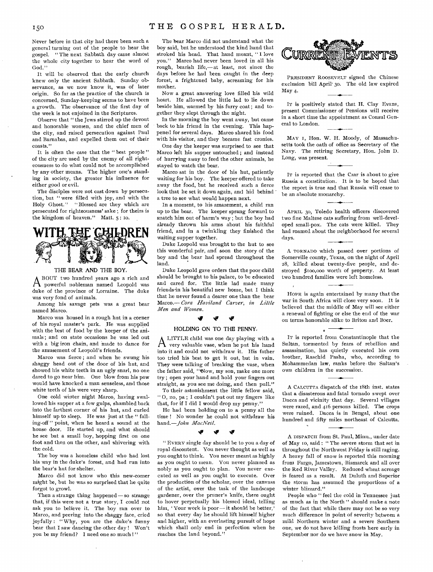Never before in that city had there been such a general turning out of the people to hear the gospel. " The next Sabbath day came almost the whole city together to hear the word of God."

It will be observed that the early church knew only the ancient Sabbath. Sunday observance, as we now know it, was of later origin. So far as the practice of the church is concerned, Sunday-keeping seems to have been a growth. The observance of the first day of the week is not enjoined in the Scriptures.

Observe that "the Jews stirred up the devout and honorable women, and the chief men of the city, and raised persecution against Paul and Barnabas, and expelled them out of their coasts."

It is often the case that the " best people " of the city are used by the enemy of all righteousness to do what could not be accomplished by any other means. The higher one's standing in society, the greater his influence for either good or evil.

The disciples were not cast down by persecution, but " were filled with joy, and with the Holy Ghost." "Blessed are they which are persecuted for righteousness' sake ; for theirs is the kingdom of heaven." Matt. 5 : io.

**THE GRIEDREN** 

#### THE BEAR AND THE BOY,

duke of the province of Lorraine. The duke was very fond of animals. A BOUT two hundred years ago a rich and A powerful nobleman named Leopold was

Among his savage pets was a great bear named Marco.

Marco was housed in a rough hut in a corner of his royal master's park. He was supplied with the best of food by the keeper of the animals ; and on state occasions he was led out with a big iron chain, and made to dance for the amusement of Leopold's friends.

Marco was fierce ; and when he swung his shaggy head out of the door of his hut, and showed his white teeth in an ugly snarl, no one dared to go near him. One blow from his paw would have knocked a man senseless, and those white teeth of his were very sharp.

One cold winter night Marco, having swallowed his supper at a few gulps, shambled back into the farthest corner of his hut, and curled himself up to sleep. He was just at the "falling-off " point, when he heard a sound at the house door. He started up, and what should he see but a small boy, hopping first on one foot and then on the other, and shivering with the cold.

The boy was a homeless child who had lost his way in the duke's forest, and had run into the bear's hut for shelter.

Marco did not know who this new-comer might be, but he was so surprised that he quite forgot to growl.

Then a strange thing happened-so strange that, if this were not a true story, I could not ask you to believe it. The boy ran over to Marco, and peering into the shaggy face, cried joyfully : " Why, you are the duke's funny bear that I saw dancing the other day ! Won't you be my friend? I need one so much !"

The bear Marco did not understand what the boy said, but he understood the kind hand that stroked his head. That hand meant, " I love you." Marco had never been loved in all his rough, bearish life,— at least, not since the days before he had been caught in the deep forest, a frightened baby, screaming for his mother.

Now a great answering love filled his wild heart. He allowed the little lad to lie down beside him, warmed by his furry coat ; and together they slept through the night.

In the morning the boy went away, but came back to his friend in the evening. This happened for several days. Marco shared his food with his visitor, and they became fast cronies.

One day the keeper was surprised to see that Marco left his supper untouched ; and instead of hurrying away to feed the other animals, he stayed to watch the bear.

Marco sat in the door of his hut, patiently waiting for his boy. The keeper offered to take away the food, but he received such a fierce look that he set it down again, and hid behind a tree to see what would happen next.

In a moment, to his amazement, a child ran up to the bear. The keeper sprang forward to snatch him out of harm's way ; but the boy had already thrown his arms about his faithful friend, and in a twinkling they finished the waiting supper together.

Duke Leopold was brought to the hut to see this wonderful pair, and soon the story of the boy and the bear had spread throughout the land.

Duke Leopold gave orders that the poor child should be brought to his palace, to be educated and cared for. The little lad made many friends-in his beautiful new home, but I think that he never found a dearer one than the bear Marco.— *Cora Haviland Carver, in Little Men and Women.* 

## 41 if

#### HOLDING ON TO THE PENNY,

A LITTLE child was one day playing with a A very valuable vase, when he put his hand into it and could not withdraw it. His father too tried his best to get it out, but in vain. They were talking of breaking the vase, when the father said, "Now, my son, make one more try ; open your hand and hold your fingers out straight, as you see me doing, and then pull."

To their astonishment the little fellow said, " 0, no, pa ; I couldn't put out my fingers like that, for if I did I would drop my penny."

He had been holding on to a penny all the time ! No wonder he could not withdraw his hand.—John *MacNeil.* 

#### **tiv**

" EVERY single day should be to you a day of royal discontent. You never thought as well as you ought to think. You never meant as highly as you ought to mean. You never planned as nobly as you ought to plan. You never executed as well as you ought to execute. Over the production of the scholar, over the canvass of the artist, over the task of the landscape gardener, over the pruner's knife, there ought to hover perpetually his blessed ideal, telling him, 'Your work is poor— it should be better,' so that every day he should lift himself higher and higher, with an everlasting pursuit of hope which shall only end in perfection when he reaches the land beyond.'



PRESIDENT ROOSEVELT signed the Chinese exclusion bill April' 3o. The old law expired May 4.

IT is positively stated that H. Clay Evans, present Commissioner of Pensions will receive in a short time the appointment as Consul General to London.

MAY I, Hon. W. H. Moody, of Massachusetts took the oath of office as Secretary of the Navy. The retiring Secretary, Hon. John D. Long, was present.

IT is reported that the Czar is about to give Russia a constitution. It is to be hoped that the report is true and that Russia will cease to be an absolute monarchy.

APRIL 3o, Toledo health officers discovered two fine Maltese cats suffering from well-developed small-pox. The cats were killed. They had roamed about the neighborhood for several days.

A TORNADO which passed over portions of Somerville county, Texas, on the night of April 28, killed about twenty-five people, and destroyed \$100,000 worth of property. At least two hundred families were left homeless.

HOPE is again entertained by many that the war in South Africa will close very soon. It is believed that the middle of May will see either a renewal of fighting or else the end of the war on terms honorable alike to Briton and Boer.

IT is reported from Constantinople that the Sultan, tormented by fears of rebellion and assassination, has quietly executed his own brother, Raschid Pasha, who, according to Mohammedan law, ranks before- the Sultan's own children in the succession.

A CALCUTTA dispatch of the 18th inst. states that a disasterous and fatal tornado swept over Dacca and vicinity that day. Several villages were razed, and 416 persons killed. The crops were ruined. Dacca is in Bengal, about one hundred and fifty miles northeast of Calcutta.

A DISPATCH from St. Paul, Minn., under date of May to, said : " The severe storm that set in throughout the Northwest Friday is still raging. A heavy fall of snow is reported this morning from Fargo, Jamestown, Bismarck and all over the Red River Valley. Reduced wheat acreage is feared as a result. At Duluth and Superior the storm has assumed the proportions of a winter blizzard."

People who " feel the cold in Tennessee just as much as in the North " should make a note of the fact that while there may not be so very much difference in point of severity between a mild Northern winter and a severe Southern one, we do not have killing frosts here early in September nor do we have snow in May.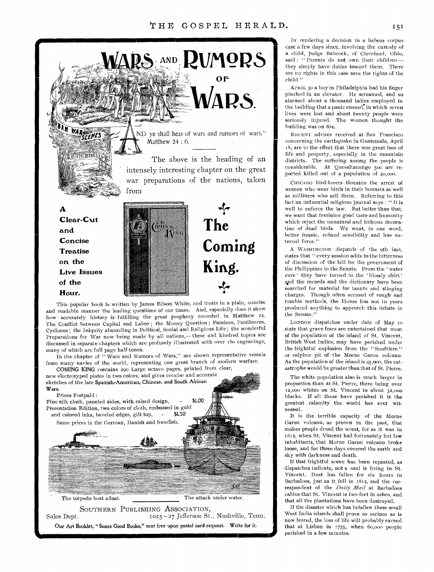

Cyclones ; the Iniquity abounding in Political, Social and Religious Life ; the wonderful Preparations for War now being made by all nations,— these and kindred topics are discussed in separate chapters which are profusely illustrated with over i8o engravings, many of which are full page half-tones.

In the chapter of "Wars and Rumors of Wars," are shown representative vessels from many navies of the world, representing one great branch of modern warfare.

COMING KING contains 290 Large octavo pages, printed from clear, new electrotyped plates in two colors, and gives concise and accurate sketches of the late Spanish-American, Chinese, and South African Wars,

#### Prices Postpaid :



The torpedo boat afloat. The attack under water.

SOUTHERN PUBLISHING ASSOCIATION, Sales Dept.  $1025 - 27$  Jefferson St., Nashville, Tenn. Our Art Booklet, "Some Good Books," sent free upon postal card request, Write for it.

IN rendering a decision in a habeas corpus case a few days since, involving the custody of a child, Judge Babcock, of Cleveland, Ohio, said : " Parents do not own their children -they simply have duties toward them. There are no rights in this case save the rights of the child."

APRIL 3o a boy in Philadelphia had his finger pinched in an elevator. He screamed, and so alarmed about a thousand ladies employed in the building that a panic ensued, in which seven lives were lost and about twenty people were seriously injured. The women thought the building was on fire.

RECENT advises received at San Francisco concerning the earthquake in Guatemala, April 18, are to the effect that there was great loss of life and property, especially in the mountain districts. The suffering among the people is considerable. At Quesaltanango 500 are reported killed out of a population of 40,00o.

CHICAGO bird-lovers threaten the arrest of women who wear birds in their bonnets as well as milliners who sell them. Referring to this fact an influential religious journal says : " It is well to enforce the law. But better than that, we want that feminine good taste and humanity which reject the unnatural and hideous decoration of dead birds. We want, in one word, better innate, refined sensibility and less external force."

A WASHINGTON dispatch of the 9th inst. states that " every session adds to the bitterness of discussion of the bill for the government of the Philippines in the Senate. From the ' water cure' they have turned to the 'bloody shirt' and the records and the dictionary have been searched for material for taunts and stinging charges. Though often accused of rough and tumble methods, the Flouse has not in years produced anything to approrch this debate in the Senate."

LONDON dispatches under date of May io state that grave fears are entertained that most of the population of the island of St. Vincent, British West Indies, may have perished under the frightful explosion from the "Soufriere" or sulphur pit of the Morne Garou volcano. As the population of the island is 45,00o, the catastrophe would be greater than that of St. Pierre.

The white population also is much larger in proportion than at St. Pierre, there being over 12,000 whites on St. Vincent to about 32,000 blacks. If all these have perished it is the greatest calamity the world has ever witnessed.

It is the terrible capacity of the Morne Garou volcano, as proven in the past, that makes people dread the worst, for as it was in 1812, when St. Vincent had fortunately but few inhabitants, that Morne Garou volcano broke loose, and for three days covered the earth and sky with darkness and death.

If that frightful scene has been repeated, as dispatches indicate, not a soul is living in St. Vincent. Dust has fallen for six hours in Barbadoes, just as it fell in 1812, and the correspondent of the *Daily Mail* at Barbadoes cables that St. Vincent is two feet in ashes, and that all the plantations have been destroyed.

If the disaster which has befallen these small West India islands shall prove as serious as is now feared, the loss of life will probably exceed that at Lisbon in 1755, when 6o,000 people perished in a few minutes.